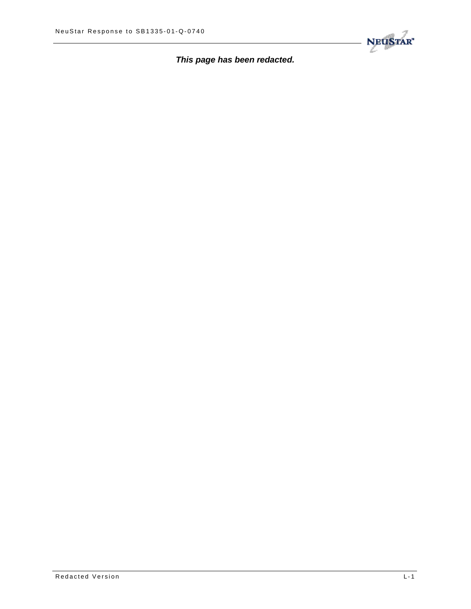

*This page has been redacted.*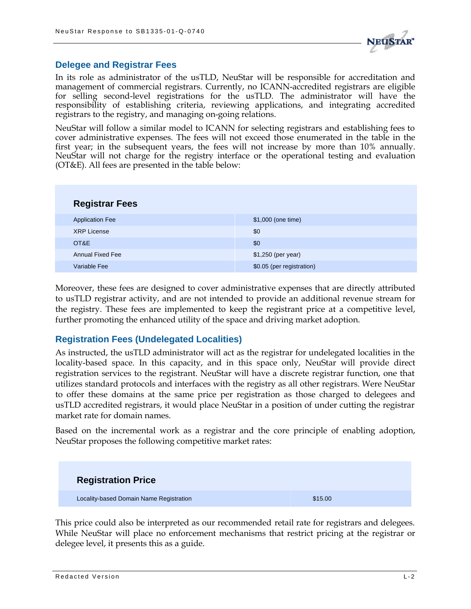

## **Delegee and Registrar Fees**

In its role as administrator of the usTLD, NeuStar will be responsible for accreditation and management of commercial registrars. Currently, no ICANN-accredited registrars are eligible for selling second-level registrations for the usTLD. The administrator will have the responsibility of establishing criteria, reviewing applications, and integrating accredited registrars to the registry, and managing on-going relations.

NeuStar will follow a similar model to ICANN for selecting registrars and establishing fees to cover administrative expenses. The fees will not exceed those enumerated in the table in the first year; in the subsequent years, the fees will not increase by more than 10% annually. NeuStar will not charge for the registry interface or the operational testing and evaluation (OT&E). All fees are presented in the table below:

| <b>Registrar Fees</b>   |                           |
|-------------------------|---------------------------|
| <b>Application Fee</b>  | \$1,000 (one time)        |
| <b>XRP License</b>      | \$0                       |
| OT&E                    | \$0                       |
| <b>Annual Fixed Fee</b> | \$1,250 (per year)        |
| Variable Fee            | \$0.05 (per registration) |

Moreover, these fees are designed to cover administrative expenses that are directly attributed to usTLD registrar activity, and are not intended to provide an additional revenue stream for the registry. These fees are implemented to keep the registrant price at a competitive level, further promoting the enhanced utility of the space and driving market adoption.

## **Registration Fees (Undelegated Localities)**

As instructed, the usTLD administrator will act as the registrar for undelegated localities in the locality-based space. In this capacity, and in this space only, NeuStar will provide direct registration services to the registrant. NeuStar will have a discrete registrar function, one that utilizes standard protocols and interfaces with the registry as all other registrars. Were NeuStar to offer these domains at the same price per registration as those charged to delegees and usTLD accredited registrars, it would place NeuStar in a position of under cutting the registrar market rate for domain names.

Based on the incremental work as a registrar and the core principle of enabling adoption, NeuStar proposes the following competitive market rates:



This price could also be interpreted as our recommended retail rate for registrars and delegees. While NeuStar will place no enforcement mechanisms that restrict pricing at the registrar or delegee level, it presents this as a guide.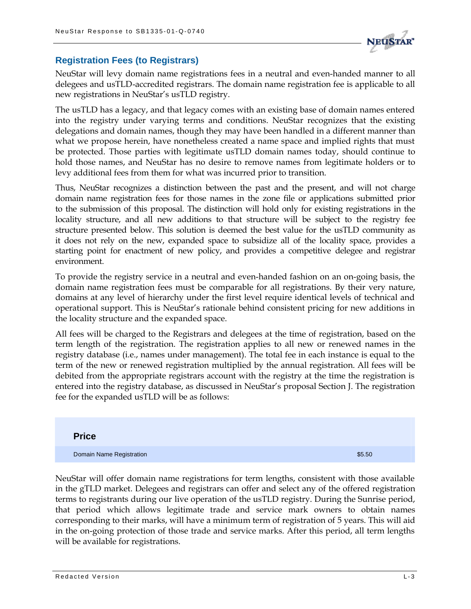

## **Registration Fees (to Registrars)**

NeuStar will levy domain name registrations fees in a neutral and even-handed manner to all delegees and usTLD-accredited registrars. The domain name registration fee is applicable to all new registrations in NeuStar's usTLD registry.

The usTLD has a legacy, and that legacy comes with an existing base of domain names entered into the registry under varying terms and conditions. NeuStar recognizes that the existing delegations and domain names, though they may have been handled in a different manner than what we propose herein, have nonetheless created a name space and implied rights that must be protected. Those parties with legitimate usTLD domain names today, should continue to hold those names, and NeuStar has no desire to remove names from legitimate holders or to levy additional fees from them for what was incurred prior to transition.

Thus, NeuStar recognizes a distinction between the past and the present, and will not charge domain name registration fees for those names in the zone file or applications submitted prior to the submission of this proposal. The distinction will hold only for existing registrations in the locality structure, and all new additions to that structure will be subject to the registry fee structure presented below. This solution is deemed the best value for the usTLD community as it does not rely on the new, expanded space to subsidize all of the locality space, provides a starting point for enactment of new policy, and provides a competitive delegee and registrar environment.

To provide the registry service in a neutral and even-handed fashion on an on-going basis, the domain name registration fees must be comparable for all registrations. By their very nature, domains at any level of hierarchy under the first level require identical levels of technical and operational support. This is NeuStar's rationale behind consistent pricing for new additions in the locality structure and the expanded space.

All fees will be charged to the Registrars and delegees at the time of registration, based on the term length of the registration. The registration applies to all new or renewed names in the registry database (i.e., names under management). The total fee in each instance is equal to the term of the new or renewed registration multiplied by the annual registration. All fees will be debited from the appropriate registrars account with the registry at the time the registration is entered into the registry database, as discussed in NeuStar's proposal Section J. The registration fee for the expanded usTLD will be as follows:

| <b>Price</b>             |        |
|--------------------------|--------|
| Domain Name Registration | \$5.50 |

NeuStar will offer domain name registrations for term lengths, consistent with those available in the gTLD market. Delegees and registrars can offer and select any of the offered registration terms to registrants during our live operation of the usTLD registry. During the Sunrise period, that period which allows legitimate trade and service mark owners to obtain names corresponding to their marks, will have a minimum term of registration of 5 years. This will aid in the on-going protection of those trade and service marks. After this period, all term lengths will be available for registrations.